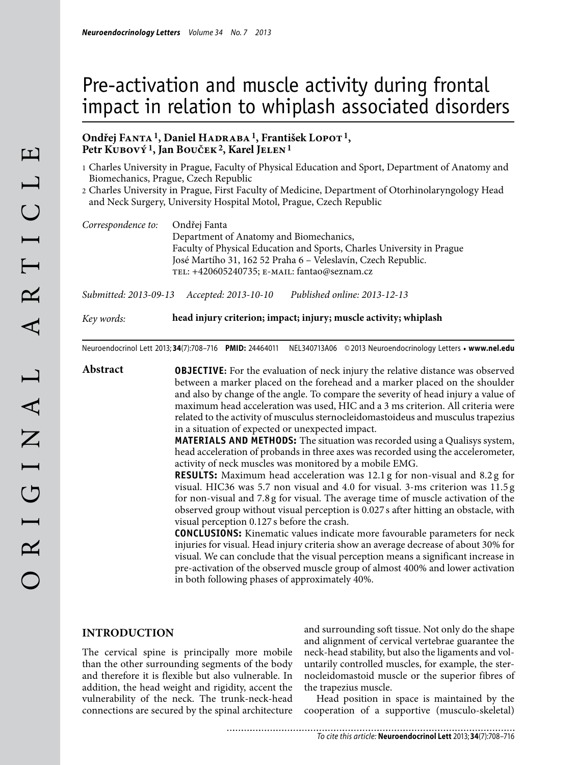# Pre-activation and muscle activity during frontal impact in relation to whiplash associated disorders

## **Ondřej Fanta 1, Daniel Hadraba 1, František Lopot 1,**  Petr KUBOVÝ<sup>1</sup>, Jan BOUČEK<sup>2</sup>, Karel JELEN<sup>1</sup>

- 1 Charles University in Prague, Faculty of Physical Education and Sport, Department of Anatomy and Biomechanics, Prague, Czech Republic
- 2 Charles University in Prague, First Faculty of Medicine, Department of Otorhinolaryngology Head and Neck Surgery, University Hospital Motol, Prague, Czech Republic

| Correspondence to: | Ondřej Fanta                                                           |
|--------------------|------------------------------------------------------------------------|
|                    | Department of Anatomy and Biomechanics,                                |
|                    | Faculty of Physical Education and Sports, Charles University in Prague |
|                    | José Martího 31, 162 52 Praha 6 – Veleslavín, Czech Republic.          |
|                    | TEL: +420605240735; E-MAIL: fantao@seznam.cz                           |
|                    |                                                                        |

*Submitted: 2013-09-13 Accepted: 2013-10-10 Published online: 2013-12-13*

*Key words:* **head injury criterion; impact; injury; muscle activity; whiplash**

Neuroendocrinol Lett 2013; **34**(7):708–716 **PMID:** 24464011 NEL340713A06 © 2013 Neuroendocrinology Letters • **www.nel.edu**

**Abstract OBJECTIVE:** For the evaluation of neck injury the relative distance was observed between a marker placed on the forehead and a marker placed on the shoulder and also by change of the angle. To compare the severity of head injury a value of maximum head acceleration was used, HIC and a 3 ms criterion. All criteria were related to the activity of musculus sternocleidomastoideus and musculus trapezius in a situation of expected or unexpected impact.

> **MATERIALS AND METHODS:** The situation was recorded using a Qualisys system, head acceleration of probands in three axes was recorded using the accelerometer, activity of neck muscles was monitored by a mobile EMG.

> **RESULTS:** Maximum head acceleration was 12.1 g for non-visual and 8.2 g for visual. HIC36 was 5.7 non visual and 4.0 for visual. 3-ms criterion was 11.5 g for non-visual and 7.8 g for visual. The average time of muscle activation of the observed group without visual perception is 0.027 s after hitting an obstacle, with visual perception 0.127 s before the crash.

> **CONCLUSIONS:** Kinematic values indicate more favourable parameters for neck injuries for visual. Head injury criteria show an average decrease of about 30% for visual. We can conclude that the visual perception means a significant increase in pre-activation of the observed muscle group of almost 400% and lower activation in both following phases of approximately 40%.

## **INTRODUCTION**

The cervical spine is principally more mobile than the other surrounding segments of the body and therefore it is flexible but also vulnerable. In addition, the head weight and rigidity, accent the vulnerability of the neck. The trunk-neck-head connections are secured by the spinal architecture

and surrounding soft tissue. Not only do the shape and alignment of cervical vertebrae guarantee the neck-head stability, but also the ligaments and voluntarily controlled muscles, for example, the sternocleidomastoid muscle or the superior fibres of the trapezius muscle.

Head position in space is maintained by the cooperation of a supportive (musculo-skeletal)

 $\mathbf{E}$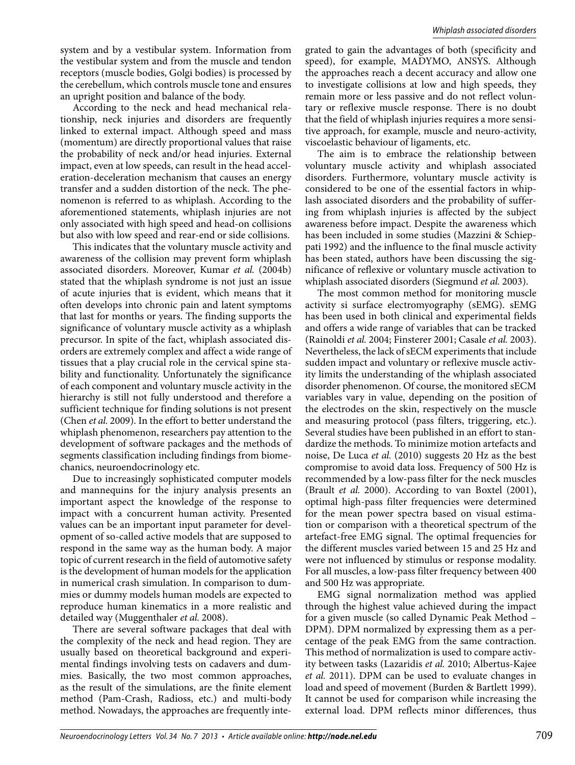system and by a vestibular system. Information from the vestibular system and from the muscle and tendon receptors (muscle bodies, Golgi bodies) is processed by the cerebellum, which controls muscle tone and ensures an upright position and balance of the body.

According to the neck and head mechanical relationship, neck injuries and disorders are frequently linked to external impact. Although speed and mass (momentum) are directly proportional values that raise the probability of neck and/or head injuries. External impact, even at low speeds, can result in the head acceleration-deceleration mechanism that causes an energy transfer and a sudden distortion of the neck. The phenomenon is referred to as whiplash. According to the aforementioned statements, whiplash injuries are not only associated with high speed and head-on collisions but also with low speed and rear-end or side collisions.

This indicates that the voluntary muscle activity and awareness of the collision may prevent form whiplash associated disorders. Moreover, Kumar *et al.* (2004b) stated that the whiplash syndrome is not just an issue of acute injuries that is evident, which means that it often develops into chronic pain and latent symptoms that last for months or years. The finding supports the significance of voluntary muscle activity as a whiplash precursor. In spite of the fact, whiplash associated disorders are extremely complex and affect a wide range of tissues that a play crucial role in the cervical spine stability and functionality. Unfortunately the significance of each component and voluntary muscle activity in the hierarchy is still not fully understood and therefore a sufficient technique for finding solutions is not present (Chen *et al.* 2009). In the effort to better understand the whiplash phenomenon, researchers pay attention to the development of software packages and the methods of segments classification including findings from biomechanics, neuroendocrinology etc.

Due to increasingly sophisticated computer models and mannequins for the injury analysis presents an important aspect the knowledge of the response to impact with a concurrent human activity. Presented values can be an important input parameter for development of so-called active models that are supposed to respond in the same way as the human body. A major topic of current research in the field of automotive safety is the development of human models for the application in numerical crash simulation. In comparison to dummies or dummy models human models are expected to reproduce human kinematics in a more realistic and detailed way (Muggenthaler *et al.* 2008).

There are several software packages that deal with the complexity of the neck and head region. They are usually based on theoretical background and experimental findings involving tests on cadavers and dummies. Basically, the two most common approaches, as the result of the simulations, are the finite element method (Pam-Crash, Radioss, etc.) and multi-body method. Nowadays, the approaches are frequently integrated to gain the advantages of both (specificity and speed), for example, MADYMO, ANSYS. Although the approaches reach a decent accuracy and allow one to investigate collisions at low and high speeds, they remain more or less passive and do not reflect voluntary or reflexive muscle response. There is no doubt that the field of whiplash injuries requires a more sensitive approach, for example, muscle and neuro-activity, viscoelastic behaviour of ligaments, etc.

The aim is to embrace the relationship between voluntary muscle activity and whiplash associated disorders. Furthermore, voluntary muscle activity is considered to be one of the essential factors in whiplash associated disorders and the probability of suffering from whiplash injuries is affected by the subject awareness before impact. Despite the awareness which has been included in some studies (Mazzini & Schieppati 1992) and the influence to the final muscle activity has been stated, authors have been discussing the significance of reflexive or voluntary muscle activation to whiplash associated disorders (Siegmund *et al.* 2003).

The most common method for monitoring muscle activity si surface electromyography (sEMG). sEMG has been used in both clinical and experimental fields and offers a wide range of variables that can be tracked (Rainoldi *et al.* 2004; Finsterer 2001; Casale *et al.* 2003). Nevertheless, the lack of sECM experiments that include sudden impact and voluntary or reflexive muscle activity limits the understanding of the whiplash associated disorder phenomenon. Of course, the monitored sECM variables vary in value, depending on the position of the electrodes on the skin, respectively on the muscle and measuring protocol (pass filters, triggering, etc.). Several studies have been published in an effort to standardize the methods. To minimize motion artefacts and noise, De Luca *et al.* (2010) suggests 20 Hz as the best compromise to avoid data loss. Frequency of 500 Hz is recommended by a low-pass filter for the neck muscles (Brault *et al.* 2000). According to van Boxtel (2001), optimal high-pass filter frequencies were determined for the mean power spectra based on visual estimation or comparison with a theoretical spectrum of the artefact-free EMG signal. The optimal frequencies for the different muscles varied between 15 and 25 Hz and were not influenced by stimulus or response modality. For all muscles, a low-pass filter frequency between 400 and 500 Hz was appropriate.

EMG signal normalization method was applied through the highest value achieved during the impact for a given muscle (so called Dynamic Peak Method – DPM). DPM normalized by expressing them as a percentage of the peak EMG from the same contraction. This method of normalization is used to compare activity between tasks (Lazaridis *et al.* 2010; Albertus-Kajee *et al.* 2011). DPM can be used to evaluate changes in load and speed of movement (Burden & Bartlett 1999). It cannot be used for comparison while increasing the external load. DPM reflects minor differences, thus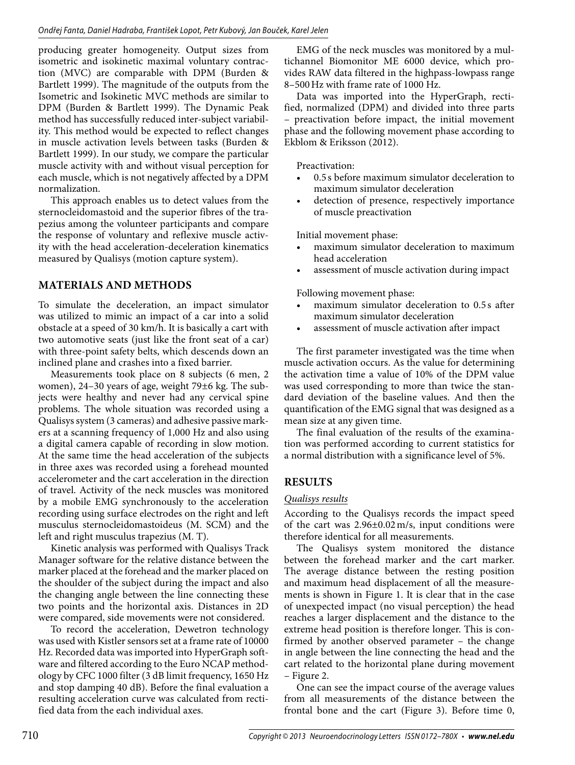producing greater homogeneity. Output sizes from isometric and isokinetic maximal voluntary contraction (MVC) are comparable with DPM (Burden & Bartlett 1999). The magnitude of the outputs from the Isometric and Isokinetic MVC methods are similar to DPM (Burden & Bartlett 1999). The Dynamic Peak method has successfully reduced inter-subject variability. This method would be expected to reflect changes in muscle activation levels between tasks (Burden & Bartlett 1999). In our study, we compare the particular muscle activity with and without visual perception for each muscle, which is not negatively affected by a DPM normalization.

This approach enables us to detect values from the sternocleidomastoid and the superior fibres of the trapezius among the volunteer participants and compare the response of voluntary and reflexive muscle activity with the head acceleration-deceleration kinematics measured by Qualisys (motion capture system).

# **MATERIALS AND METHODS**

To simulate the deceleration, an impact simulator was utilized to mimic an impact of a car into a solid obstacle at a speed of 30 km/h. It is basically a cart with two automotive seats (just like the front seat of a car) with three-point safety belts, which descends down an inclined plane and crashes into a fixed barrier.

Measurements took place on 8 subjects (6 men, 2 women), 24–30 years of age, weight 79±6 kg. The subjects were healthy and never had any cervical spine problems. The whole situation was recorded using a Qualisys system (3 cameras) and adhesive passive markers at a scanning frequency of 1,000 Hz and also using a digital camera capable of recording in slow motion. At the same time the head acceleration of the subjects in three axes was recorded using a forehead mounted accelerometer and the cart acceleration in the direction of travel. Activity of the neck muscles was monitored by a mobile EMG synchronously to the acceleration recording using surface electrodes on the right and left musculus sternocleidomastoideus (M. SCM) and the left and right musculus trapezius (M. T).

Kinetic analysis was performed with Qualisys Track Manager software for the relative distance between the marker placed at the forehead and the marker placed on the shoulder of the subject during the impact and also the changing angle between the line connecting these two points and the horizontal axis. Distances in 2D were compared, side movements were not considered.

To record the acceleration, Dewetron technology was used with Kistler sensors set at a frame rate of 10000 Hz. Recorded data was imported into HyperGraph software and filtered according to the Euro NCAP methodology by CFC 1000 filter (3 dB limit frequency, 1650 Hz and stop damping 40 dB). Before the final evaluation a resulting acceleration curve was calculated from rectified data from the each individual axes.

EMG of the neck muscles was monitored by a multichannel Biomonitor ME 6000 device, which provides RAW data filtered in the highpass-lowpass range 8–500 Hz with frame rate of 1000 Hz.

Data was imported into the HyperGraph, rectified, normalized (DPM) and divided into three parts – preactivation before impact, the initial movement phase and the following movement phase according to Ekblom & Eriksson (2012).

Preactivation:

- 0.5 s before maximum simulator deceleration to maximum simulator deceleration
- detection of presence, respectively importance of muscle preactivation

Initial movement phase:

- maximum simulator deceleration to maximum head acceleration
- assessment of muscle activation during impact

Following movement phase:

- maximum simulator deceleration to 0.5 s after maximum simulator deceleration
- assessment of muscle activation after impact

The first parameter investigated was the time when muscle activation occurs. As the value for determining the activation time a value of 10% of the DPM value was used corresponding to more than twice the standard deviation of the baseline values. And then the quantification of the EMG signal that was designed as a mean size at any given time.

The final evaluation of the results of the examination was performed according to current statistics for a normal distribution with a significance level of 5%.

# **RESULTS**

## *Qualisys results*

According to the Qualisys records the impact speed of the cart was 2.96±0.02 m/s, input conditions were therefore identical for all measurements.

The Qualisys system monitored the distance between the forehead marker and the cart marker. The average distance between the resting position and maximum head displacement of all the measurements is shown in Figure 1. It is clear that in the case of unexpected impact (no visual perception) the head reaches a larger displacement and the distance to the extreme head position is therefore longer. This is confirmed by another observed parameter – the change in angle between the line connecting the head and the cart related to the horizontal plane during movement – Figure 2.

One can see the impact course of the average values from all measurements of the distance between the frontal bone and the cart (Figure 3). Before time 0,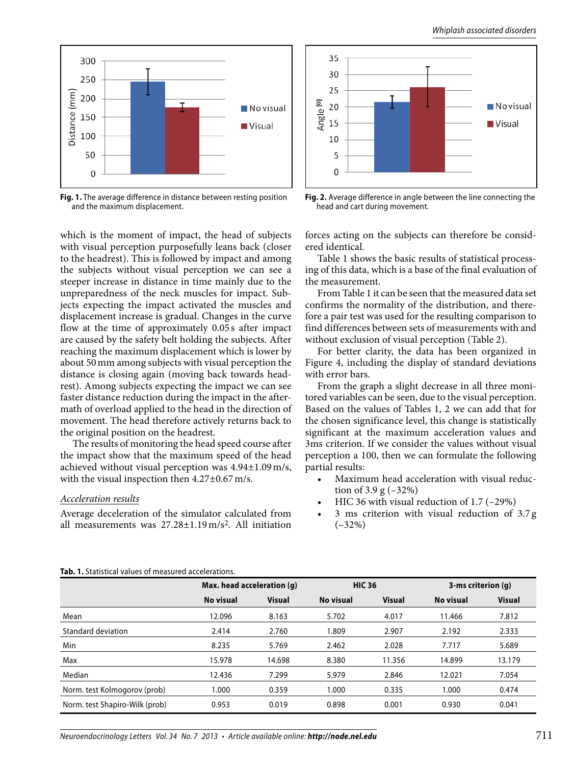



**Fig. 1.** The average difference in distance between resting position and the maximum displacement.

which is the moment of impact, the head of subjects with visual perception purposefully leans back (closer to the headrest). This is followed by impact and among the subjects without visual perception we can see a steeper increase in distance in time mainly due to the unpreparedness of the neck muscles for impact. Subjects expecting the impact activated the muscles and displacement increase is gradual. Changes in the curve flow at the time of approximately 0.05s after impact are caused by the safety belt holding the subjects. After reaching the maximum displacement which is lower by about 50 mm among subjects with visual perception the distance is closing again (moving back towards headrest). Among subjects expecting the impact we can see faster distance reduction during the impact in the aftermath of overload applied to the head in the direction of movement. The head therefore actively returns back to the original position on the headrest.

The results of monitoring the head speed course after the impact show that the maximum speed of the head achieved without visual perception was 4.94±1.09 m/s, with the visual inspection then 4.27±0.67 m/s.

#### *Acceleration results*

Average deceleration of the simulator calculated from all measurements was  $27.28 \pm 1.19 \text{ m/s}^2$ . All initiation



**Fig. 2.** Average difference in angle between the line connecting the head and cart during movement.

forces acting on the subjects can therefore be considered identical.

Table 1 shows the basic results of statistical processing of this data, which is a base of the final evaluation of the measurement.

From Table 1 it can be seen that the measured data set confirms the normality of the distribution, and therefore a pair test was used for the resulting comparison to find differences between sets of measurements with and without exclusion of visual perception (Table 2).

For better clarity, the data has been organized in Figure 4, including the display of standard deviations with error bars.

From the graph a slight decrease in all three monitored variables can be seen, due to the visual perception. Based on the values of Tables 1, 2 we can add that for the chosen significance level, this change is statistically significant at the maximum acceleration values and 3ms criterion. If we consider the values without visual perception a 100, then we can formulate the following partial results:

- Maximum head acceleration with visual reduction of 3.9 g (–32%)
- HIC 36 with visual reduction of 1.7 (-29%)
- 3 ms criterion with visual reduction of 3.7 g (–32%)

#### **Tab. 1.** Statistical values of measured accelerations.

|                                | Max. head acceleration (q) |               |           | <b>HIC 36</b> |           | 3-ms criterion $(q)$ |  |
|--------------------------------|----------------------------|---------------|-----------|---------------|-----------|----------------------|--|
|                                | No visual                  | <b>Visual</b> | No visual | <b>Visual</b> | No visual | <b>Visual</b>        |  |
| Mean                           | 12.096                     | 8.163         | 5.702     | 4.017         | 11.466    | 7.812                |  |
| Standard deviation             | 2.414                      | 2.760         | 1.809     | 2.907         | 2.192     | 2.333                |  |
| Min                            | 8.235                      | 5.769         | 2.462     | 2.028         | 7.717     | 5.689                |  |
| Max                            | 15.978                     | 14.698        | 8.380     | 11.356        | 14.899    | 13.179               |  |
| Median                         | 12.436                     | 7.299         | 5.979     | 2.846         | 12.021    | 7.054                |  |
| Norm. test Kolmogorov (prob)   | 1.000                      | 0.359         | 1.000     | 0.335         | 1.000     | 0.474                |  |
| Norm. test Shapiro-Wilk (prob) | 0.953                      | 0.019         | 0.898     | 0.001         | 0.930     | 0.041                |  |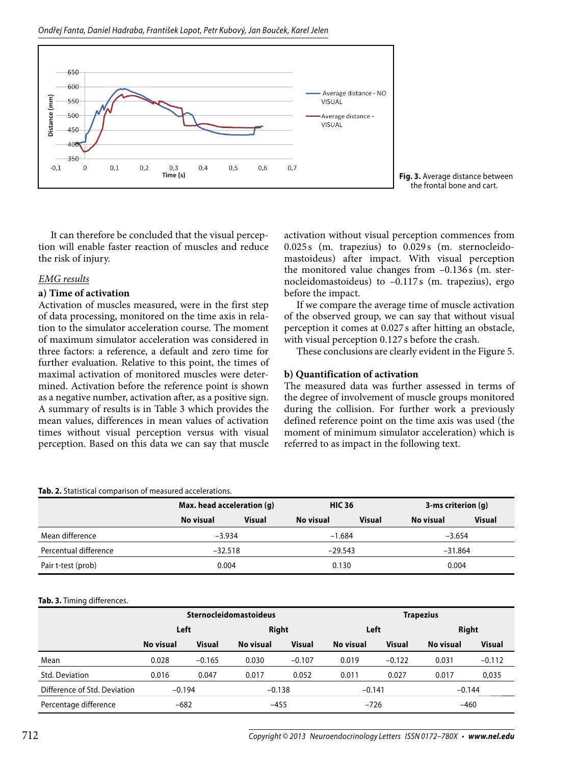Ondřej Fanta, Daniel Hadraba, František Lopot, Petr Kubový, Jan Bouček, Karel Jelen



It can therefore be concluded that the visual perception will enable faster reaction of muscles and reduce the risk of injury.

## *EMG results*

## **a) Time of activation**

Activation of muscles measured, were in the first step of data processing, monitored on the time axis in relation to the simulator acceleration course. The moment of maximum simulator acceleration was considered in three factors: a reference, a default and zero time for further evaluation. Relative to this point, the times of maximal activation of monitored muscles were determined. Activation before the reference point is shown as a negative number, activation after, as a positive sign. A summary of results is in Table 3 which provides the mean values, differences in mean values of activation times without visual perception versus with visual perception. Based on this data we can say that muscle activation without visual perception commences from 0.025 s (m. trapezius) to 0.029 s (m. sternocleidomastoideus) after impact. With visual perception the monitored value changes from  $-0.136$  s (m. sternocleidomastoideus) to –0.117 s (m. trapezius), ergo before the impact.

If we compare the average time of muscle activation of the observed group, we can say that without visual perception it comes at 0.027 s after hitting an obstacle, with visual perception 0.127 s before the crash.

These conclusions are clearly evident in the Figure 5.

## **b) Quantification of activation**

The measured data was further assessed in terms of the degree of involvement of muscle groups monitored during the collision. For further work a previously defined reference point on the time axis was used (the moment of minimum simulator acceleration) which is referred to as impact in the following text.

#### **Tab. 2.** Statistical comparison of measured accelerations.

|                       |           | Max. head acceleration (g) |           | <b>HIC 36</b> |           | 3-ms criterion $(q)$ |  |
|-----------------------|-----------|----------------------------|-----------|---------------|-----------|----------------------|--|
|                       | No visual | <b>Visual</b>              | No visual | <b>Visual</b> | No visual | <b>Visual</b>        |  |
| Mean difference       |           | $-3.934$                   |           | $-1.684$      |           | $-3.654$             |  |
| Percentual difference |           | $-32.518$                  |           | $-29.543$     |           | $-31.864$            |  |
| Pair t-test (prob)    |           | 0.004                      |           | 0.130         |           | 0.004                |  |

#### **Tab. 3.** Timing differences.

|                              | <b>Sternocleidomastoideus</b> |               |              |               |           |               | <b>Trapezius</b> |               |
|------------------------------|-------------------------------|---------------|--------------|---------------|-----------|---------------|------------------|---------------|
|                              | Left                          |               | <b>Right</b> |               | Left      |               | <b>Right</b>     |               |
|                              | No visual                     | <b>Visual</b> | No visual    | <b>Visual</b> | No visual | <b>Visual</b> | No visual        | <b>Visual</b> |
| Mean                         | 0.028                         | $-0.165$      | 0.030        | $-0.107$      | 0.019     | $-0.122$      | 0.031            | $-0.112$      |
| Std. Deviation               | 0.016                         | 0.047         | 0.017        | 0.052         | 0.011     | 0.027         | 0.017            | 0,035         |
| Difference of Std. Deviation | $-0.194$                      |               | $-0.138$     |               | $-0.141$  |               | $-0.144$         |               |
| Percentage difference        | $-682$                        |               | $-455$       |               | $-726$    |               | $-460$           |               |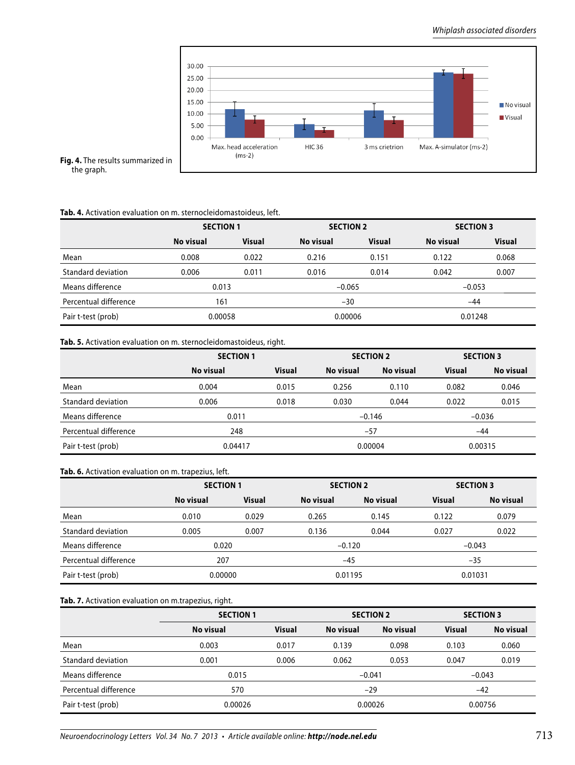

**Fig. 4.** The results summarized in the graph.

#### **Tab. 4.** Activation evaluation on m. sternocleidomastoideus, left.

|                       |           | <b>SECTION 1</b> |           | <b>SECTION 2</b> |           | <b>SECTION 3</b> |  |
|-----------------------|-----------|------------------|-----------|------------------|-----------|------------------|--|
|                       | No visual | <b>Visual</b>    | No visual | <b>Visual</b>    | No visual | <b>Visual</b>    |  |
| Mean                  | 0.008     | 0.022            | 0.216     | 0.151            | 0.122     | 0.068            |  |
| Standard deviation    | 0.006     | 0.011            | 0.016     | 0.014            | 0.042     | 0.007            |  |
| Means difference      |           | 0.013            |           | $-0.065$         |           | $-0.053$         |  |
| Percentual difference | 161       |                  |           | $-30$            |           | $-44$            |  |
| Pair t-test (prob)    |           | 0.00058          |           | 0.00006          |           | 0.01248          |  |

## **Tab. 5.** Activation evaluation on m. sternocleidomastoideus, right.

|                       | <b>SECTION 1</b> |               |           | <b>SECTION 2</b> | <b>SECTION 3</b> |           |
|-----------------------|------------------|---------------|-----------|------------------|------------------|-----------|
|                       | No visual        | <b>Visual</b> | No visual | No visual        | <b>Visual</b>    | No visual |
| Mean                  | 0.004            | 0.015         | 0.256     | 0.110            | 0.082            | 0.046     |
| Standard deviation    | 0.006            | 0.018         | 0.030     | 0.044            | 0.022            | 0.015     |
| Means difference      | 0.011            |               | $-0.146$  |                  | $-0.036$         |           |
| Percentual difference | 248              |               | $-57$     |                  | $-44$            |           |
| Pair t-test (prob)    | 0.04417          |               | 0.00004   |                  | 0.00315          |           |

#### **Tab. 6.** Activation evaluation on m. trapezius, left.

|                       |           | <b>SECTION 1</b> |           | <b>SECTION 2</b> |               | <b>SECTION 3</b> |  |
|-----------------------|-----------|------------------|-----------|------------------|---------------|------------------|--|
|                       | No visual | <b>Visual</b>    | No visual | No visual        | <b>Visual</b> | No visual        |  |
| Mean                  | 0.010     | 0.029            | 0.265     | 0.145            | 0.122         | 0.079            |  |
| Standard deviation    | 0.005     | 0.007            | 0.136     | 0.044            | 0.027         | 0.022            |  |
| Means difference      |           | 0.020            |           | $-0.120$         |               | $-0.043$         |  |
| Percentual difference | 207       |                  | $-45$     |                  | $-35$         |                  |  |
| Pair t-test (prob)    | 0.00000   |                  |           | 0.01195          |               | 0.01031          |  |

## **Tab. 7.** Activation evaluation on m.trapezius, right.

|                       | <b>SECTION 1</b> |               |           | <b>SECTION 2</b> | <b>SECTION 3</b> |           |
|-----------------------|------------------|---------------|-----------|------------------|------------------|-----------|
|                       | No visual        | <b>Visual</b> | No visual | No visual        | <b>Visual</b>    | No visual |
| Mean                  | 0.003            | 0.017         | 0.139     | 0.098            | 0.103            | 0.060     |
| Standard deviation    | 0.001            | 0.006         | 0.062     | 0.053            | 0.047            | 0.019     |
| Means difference      | 0.015            |               | $-0.041$  |                  | $-0.043$         |           |
| Percentual difference | 570              |               | $-29$     |                  | $-42$            |           |
| Pair t-test (prob)    | 0.00026          |               | 0.00026   |                  | 0.00756          |           |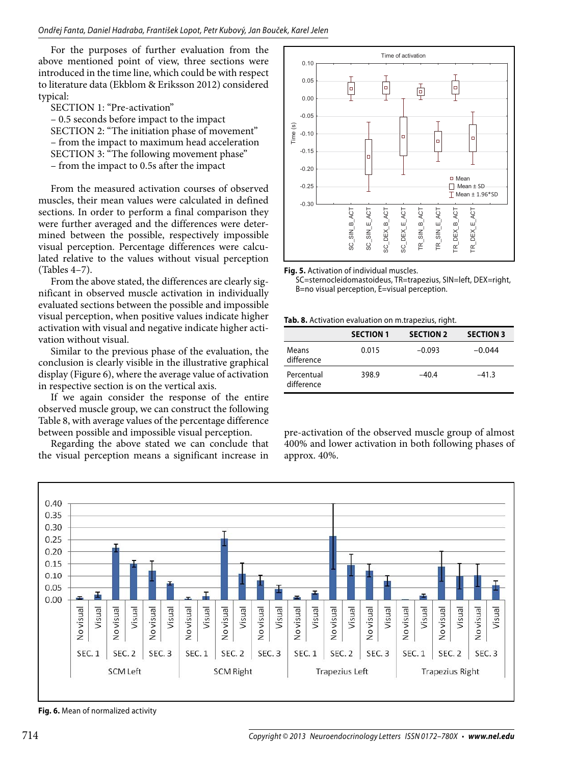For the purposes of further evaluation from the above mentioned point of view, three sections were introduced in the time line, which could be with respect to literature data (Ekblom & Eriksson 2012) considered typical:

SECTION 1: "Pre-activation"

– 0.5 seconds before impact to the impact SECTION 2: "The initiation phase of movement" – from the impact to maximum head acceleration SECTION 3: "The following movement phase" – from the impact to 0.5s after the impact

From the measured activation courses of observed muscles, their mean values were calculated in defined sections. In order to perform a final comparison they were further averaged and the differences were determined between the possible, respectively impossible visual perception. Percentage differences were calculated relative to the values without visual perception (Tables 4–7).

From the above stated, the differences are clearly significant in observed muscle activation in individually evaluated sections between the possible and impossible visual perception, when positive values indicate higher activation with visual and negative indicate higher activation without visual.

Similar to the previous phase of the evaluation, the conclusion is clearly visible in the illustrative graphical display (Figure 6), where the average value of activation in respective section is on the vertical axis.

If we again consider the response of the entire observed muscle group, we can construct the following Table 8, with average values of the percentage difference between possible and impossible visual perception.

Regarding the above stated we can conclude that the visual perception means a significant increase in



**Fig. 5.** Activation of individual muscles.

SC=sternocleidomastoideus, TR=trapezius, SIN=left, DEX=right, B=no visual perception, E=visual perception.

**Tab. 8.** Activation evaluation on m.trapezius, right.

|                          | <b>SECTION 1</b> | <b>SECTION 2</b> | <b>SECTION 3</b> |
|--------------------------|------------------|------------------|------------------|
| Means<br>difference      | 0.015            | $-0.093$         | $-0.044$         |
| Percentual<br>difference | 398.9            | $-40.4$          | $-41.3$          |

pre-activation of the observed muscle group of almost 400% and lower activation in both following phases of approx. 40%.



**Fig. 6.** Mean of normalized activity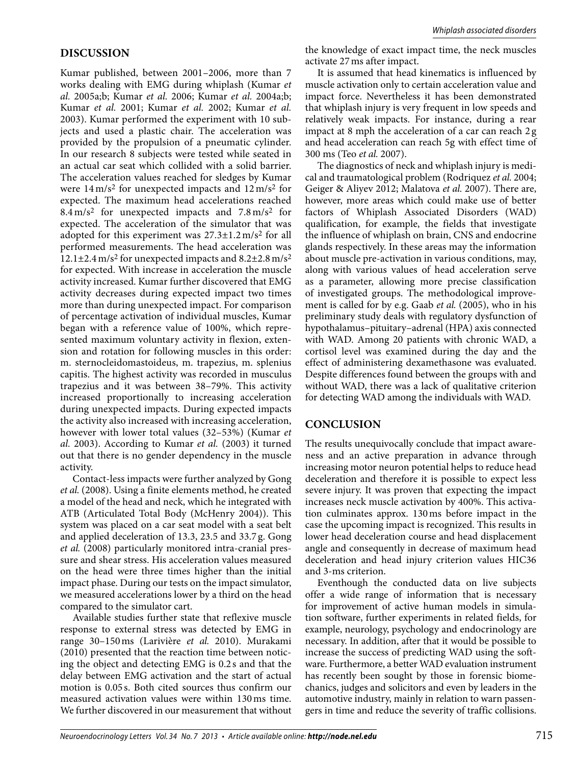## **DISCUSSION**

Kumar published, between 2001–2006, more than 7 works dealing with EMG during whiplash (Kumar *et al.* 2005a;b; Kumar *et al.* 2006; Kumar *et al.* 2004a;b; Kumar *et al.* 2001; Kumar *et al.* 2002; Kumar *et al.*  2003). Kumar performed the experiment with 10 subjects and used a plastic chair. The acceleration was provided by the propulsion of a pneumatic cylinder. In our research 8 subjects were tested while seated in an actual car seat which collided with a solid barrier. The acceleration values reached for sledges by Kumar were 14 m/s2 for unexpected impacts and 12 m/s2 for expected. The maximum head accelerations reached  $8.4 \text{ m/s}^2$  for unexpected impacts and  $7.8 \text{ m/s}^2$  for expected. The acceleration of the simulator that was adopted for this experiment was  $27.3 \pm 1.2$  m/s<sup>2</sup> for all performed measurements. The head acceleration was  $12.1\pm2.4$  m/s<sup>2</sup> for unexpected impacts and  $8.2\pm2.8$  m/s<sup>2</sup> for expected. With increase in acceleration the muscle activity increased. Kumar further discovered that EMG activity decreases during expected impact two times more than during unexpected impact. For comparison of percentage activation of individual muscles, Kumar began with a reference value of 100%, which represented maximum voluntary activity in flexion, extension and rotation for following muscles in this order: m. sternocleidomastoideus, m. trapezius, m. splenius capitis. The highest activity was recorded in musculus trapezius and it was between 38–79%. This activity increased proportionally to increasing acceleration during unexpected impacts. During expected impacts the activity also increased with increasing acceleration, however with lower total values (32–53%) (Kumar *et al.* 2003). According to Kumar *et al.* (2003) it turned out that there is no gender dependency in the muscle activity.

Contact-less impacts were further analyzed by Gong *et al.* (2008). Using a finite elements method, he created a model of the head and neck, which he integrated with ATB (Articulated Total Body (McHenry 2004)). This system was placed on a car seat model with a seat belt and applied deceleration of 13.3, 23.5 and 33.7 g. Gong *et al.* (2008) particularly monitored intra-cranial pressure and shear stress. His acceleration values measured on the head were three times higher than the initial impact phase. During our tests on the impact simulator, we measured accelerations lower by a third on the head compared to the simulator cart.

Available studies further state that reflexive muscle response to external stress was detected by EMG in range 30–150 ms (Larivière *et al.* 2010). Murakami (2010) presented that the reaction time between noticing the object and detecting EMG is 0.2 s and that the delay between EMG activation and the start of actual motion is 0.05 s. Both cited sources thus confirm our measured activation values were within 130 ms time. We further discovered in our measurement that without the knowledge of exact impact time, the neck muscles activate 27 ms after impact.

It is assumed that head kinematics is influenced by muscle activation only to certain acceleration value and impact force. Nevertheless it has been demonstrated that whiplash injury is very frequent in low speeds and relatively weak impacts. For instance, during a rear impact at 8 mph the acceleration of a car can reach 2 g and head acceleration can reach 5g with effect time of 300 ms (Teo *et al.* 2007).

The diagnostics of neck and whiplash injury is medical and traumatological problem (Rodriquez *et al.* 2004; Geiger & Aliyev 2012; Malatova *et al.* 2007). There are, however, more areas which could make use of better factors of Whiplash Associated Disorders (WAD) qualification, for example, the fields that investigate the influence of whiplash on brain, CNS and endocrine glands respectively. In these areas may the information about muscle pre-activation in various conditions, may, along with various values of head acceleration serve as a parameter, allowing more precise classification of investigated groups. The methodological improvement is called for by e.g. Gaab *et al.* (2005), who in his preliminary study deals with regulatory dysfunction of hypothalamus–pituitary–adrenal (HPA) axis connected with WAD. Among 20 patients with chronic WAD, a cortisol level was examined during the day and the effect of administering dexamethasone was evaluated. Despite differences found between the groups with and without WAD, there was a lack of qualitative criterion for detecting WAD among the individuals with WAD.

## **CONCLUSION**

The results unequivocally conclude that impact awareness and an active preparation in advance through increasing motor neuron potential helps to reduce head deceleration and therefore it is possible to expect less severe injury. It was proven that expecting the impact increases neck muscle activation by 400%. This activation culminates approx. 130 ms before impact in the case the upcoming impact is recognized. This results in lower head deceleration course and head displacement angle and consequently in decrease of maximum head deceleration and head injury criterion values HIC36 and 3-ms criterion.

Eventhough the conducted data on live subjects offer a wide range of information that is necessary for improvement of active human models in simulation software, further experiments in related fields, for example, neurology, psychology and endocrinology are necessary. In addition, after that it would be possible to increase the success of predicting WAD using the software. Furthermore, a better WAD evaluation instrument has recently been sought by those in forensic biomechanics, judges and solicitors and even by leaders in the automotive industry, mainly in relation to warn passengers in time and reduce the severity of traffic collisions.